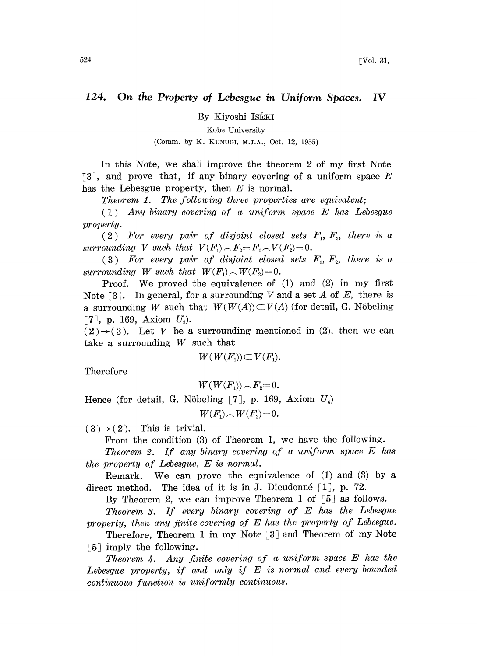## 124. On the Property of Lebesgue in Uniform Spaces. IV

By Kiyoshi ISÉKI

Kobe University

(Cmm. by K. KUNUGI, M.J.A., Oct. 12, 1955)

In this Note, we shall improve the theorem 2 of my first Note [3], and prove that, if any binary covering of a uniform space  $E$ has the Lebesgue property, then  $E$  is normal.

Theorem 1. The following three properties are equivalent;

(1) Any binary covering of <sup>a</sup> uniform space E has Lebesgue property.

 $(2)$  For every pair of disjoint closed sets  $F_1, F_2$ , there is a surrounding V such that  $V(F_1) \cap F_2 = F_1 \cap V(F_2) = 0$ .

(3) For every pair of disjoint closed sets  $F_1, F_2$ , there is a surrounding W such that  $W(F_1) \sim W(F_2)=0$ .

Proof. We proved the equivalence of (1) and (2) in my first Note  $\lceil 3 \rceil$ . In general, for a surrounding V and a set A of E, there is a surrounding W such that  $W(W(A)) \subset V(A)$  (for detail, G. Nöbeling [7], p. 169, Axiom  $U_3$ ).

 $(2) \rightarrow (3)$ . Let V be a surrounding mentioned in (2), then we can take a surrounding  $W$  such that

$$
W(W(F_1))\subset V(F_1).
$$

Therefore

 $W(W(F_1)) \cap F_2 = 0.$ 

Hence (for detail, G. Nöbeling [7], p. 169, Axiom  $U_4$ )

 $W(F_1) \sim W(F_2) = 0.$ 

 $(3) \rightarrow (2)$ . This is trivial.

From the condition (3) of Theorem 1, we have the following.

Theorem 2. If any binary covering of <sup>a</sup> uniform space E has the property of Lebesgue, E is normal.

Remark. We can prove the equivalence of  $(1)$  and  $(3)$  by a direct method. The idea of it is in J. Dieudonné  $\lceil 1 \rceil$ , p. 72.

By Theorem 2, we can improve Theorem 1 of  $[5]$  as follows.

Theorem 3. If every binary covering of E has the Lebesgue property, then any finite covering of E has the property of Lebesgue.

Therefore, Theorem 1 in my Note  $[3]$  and Theorem of my Note  $\lceil 5 \rceil$  imply the following.

Theorem 4. Any finite covering of <sup>a</sup> uniform space E has the Lebesgue property, if and only if E is normal and every bounded continuous function is uniformly continuous.